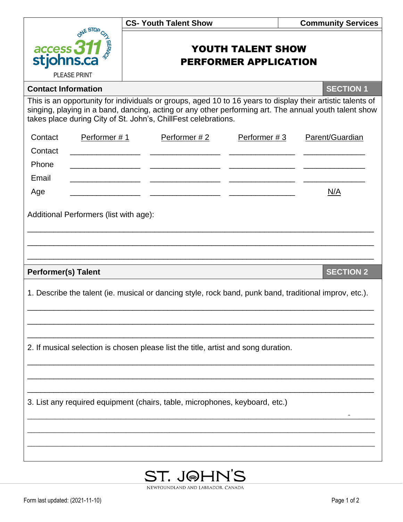|                                                                                                                                                                                                                                                                                       | <b>CS- Youth Talent Show</b>                             | <b>Community Services</b>         |  |  |  |
|---------------------------------------------------------------------------------------------------------------------------------------------------------------------------------------------------------------------------------------------------------------------------------------|----------------------------------------------------------|-----------------------------------|--|--|--|
| ONE STOP<br>access 311<br>stjohns.ca<br>PLEASE PRINT                                                                                                                                                                                                                                  | <b>YOUTH TALENT SHOW</b><br><b>PERFORMER APPLICATION</b> |                                   |  |  |  |
| <b>Contact Information</b>                                                                                                                                                                                                                                                            |                                                          | <b>SECTION 1</b>                  |  |  |  |
| This is an opportunity for individuals or groups, aged 10 to 16 years to display their artistic talents of<br>singing, playing in a band, dancing, acting or any other performing art. The annual youth talent show<br>takes place during City of St. John's, ChillFest celebrations. |                                                          |                                   |  |  |  |
| Contact<br>Performer #1                                                                                                                                                                                                                                                               | Performer #2                                             | Parent/Guardian<br>Performer $#3$ |  |  |  |
| Contact                                                                                                                                                                                                                                                                               |                                                          |                                   |  |  |  |
| Phone<br>Email                                                                                                                                                                                                                                                                        |                                                          |                                   |  |  |  |
|                                                                                                                                                                                                                                                                                       |                                                          |                                   |  |  |  |
| Age                                                                                                                                                                                                                                                                                   |                                                          | N/A                               |  |  |  |
| Additional Performers (list with age):                                                                                                                                                                                                                                                |                                                          |                                   |  |  |  |
|                                                                                                                                                                                                                                                                                       |                                                          |                                   |  |  |  |
|                                                                                                                                                                                                                                                                                       |                                                          |                                   |  |  |  |
| <b>SECTION 2</b><br><b>Performer(s) Talent</b>                                                                                                                                                                                                                                        |                                                          |                                   |  |  |  |
| 1. Describe the talent (ie. musical or dancing style, rock band, punk band, traditional improv, etc.).                                                                                                                                                                                |                                                          |                                   |  |  |  |
|                                                                                                                                                                                                                                                                                       |                                                          |                                   |  |  |  |
|                                                                                                                                                                                                                                                                                       |                                                          |                                   |  |  |  |
| 2. If musical selection is chosen please list the title, artist and song duration.                                                                                                                                                                                                    |                                                          |                                   |  |  |  |
|                                                                                                                                                                                                                                                                                       |                                                          |                                   |  |  |  |
| 3. List any required equipment (chairs, table, microphones, keyboard, etc.)                                                                                                                                                                                                           |                                                          |                                   |  |  |  |
|                                                                                                                                                                                                                                                                                       |                                                          |                                   |  |  |  |
|                                                                                                                                                                                                                                                                                       |                                                          |                                   |  |  |  |
|                                                                                                                                                                                                                                                                                       |                                                          |                                   |  |  |  |